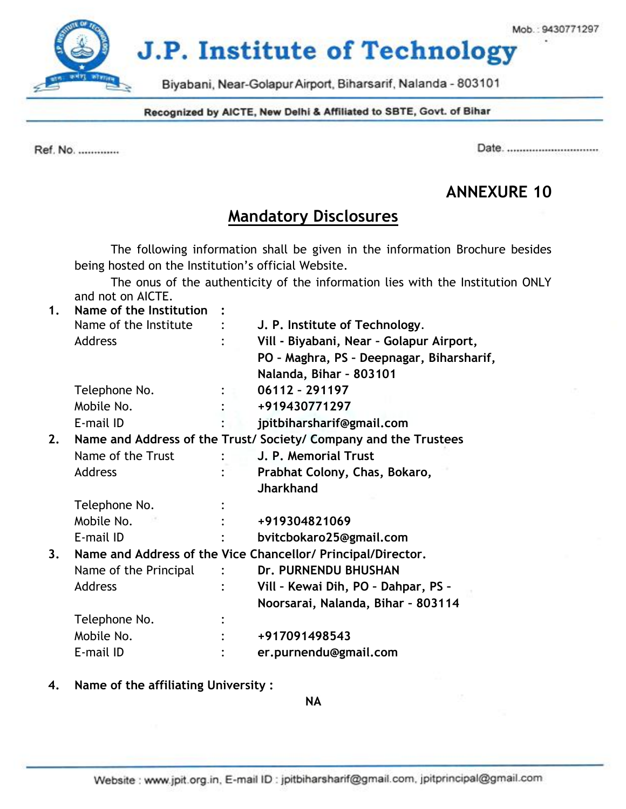**J.P. Institute of Technology** 

Biyabani, Near-Golapur Airport, Biharsarif, Nalanda - 803101

Recognized by AICTE, New Delhi & Affiliated to SBTE, Govt. of Bihar

Ref. No. .............

Date. ...............................

# **ANNEXURE 10**

# **Mandatory Disclosures**

The following information shall be given in the information Brochure besides being hosted on the Institution's official Website.

The onus of the authenticity of the information lies with the Institution ONLY and not on AICTE.

| 1. | Name of the Institution |                                                                |
|----|-------------------------|----------------------------------------------------------------|
|    | Name of the Institute   | J. P. Institute of Technology.                                 |
|    | <b>Address</b>          | Vill - Biyabani, Near - Golapur Airport,                       |
|    |                         | PO - Maghra, PS - Deepnagar, Biharsharif,                      |
|    |                         | Nalanda, Bihar - 803101                                        |
|    | Telephone No.           | 06112 - 291197                                                 |
|    | Mobile No.              | +919430771297                                                  |
|    | E-mail ID               | jpitbiharsharif@gmail.com                                      |
| 2. |                         | Name and Address of the Trust/Society/Company and the Trustees |
|    | Name of the Trust       | J. P. Memorial Trust                                           |
|    | <b>Address</b>          | Prabhat Colony, Chas, Bokaro,                                  |
|    |                         | <b>Jharkhand</b>                                               |
|    | Telephone No.           |                                                                |
|    | Mobile No.              | +919304821069                                                  |
|    | E-mail ID               | bvitcbokaro25@gmail.com                                        |
| 3. |                         | Name and Address of the Vice Chancellor/ Principal/Director.   |
|    | Name of the Principal   | Dr. PURNENDU BHUSHAN                                           |
|    | Address                 | Vill - Kewai Dih, PO - Dahpar, PS -                            |
|    |                         | Noorsarai, Nalanda, Bihar - 803114                             |
|    | Telephone No.           |                                                                |
|    | Mobile No.              | +917091498543                                                  |
|    | E-mail ID               | er.purnendu@gmail.com                                          |

**4. Name of the affiliating University :**

**NA**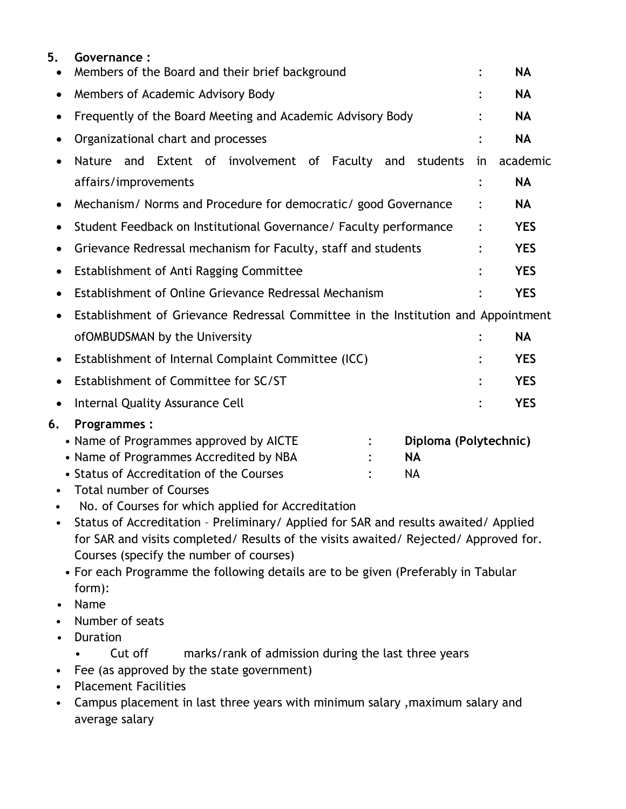| 5.<br>$\bullet$ | Governance:<br>Members of the Board and their brief background                                                                                                                                                                                                                                                                                                              |    | <b>NA</b>  |  |  |
|-----------------|-----------------------------------------------------------------------------------------------------------------------------------------------------------------------------------------------------------------------------------------------------------------------------------------------------------------------------------------------------------------------------|----|------------|--|--|
| ٠               | Members of Academic Advisory Body                                                                                                                                                                                                                                                                                                                                           |    | <b>NA</b>  |  |  |
|                 |                                                                                                                                                                                                                                                                                                                                                                             |    | <b>NA</b>  |  |  |
|                 | Frequently of the Board Meeting and Academic Advisory Body                                                                                                                                                                                                                                                                                                                  |    |            |  |  |
| ٠               | Organizational chart and processes                                                                                                                                                                                                                                                                                                                                          |    | <b>NA</b>  |  |  |
|                 | Nature and Extent of involvement of Faculty<br>and students                                                                                                                                                                                                                                                                                                                 | in | academic   |  |  |
|                 | affairs/improvements                                                                                                                                                                                                                                                                                                                                                        |    | <b>NA</b>  |  |  |
|                 | Mechanism/ Norms and Procedure for democratic/ good Governance                                                                                                                                                                                                                                                                                                              |    | <b>NA</b>  |  |  |
|                 | Student Feedback on Institutional Governance/ Faculty performance                                                                                                                                                                                                                                                                                                           |    | <b>YES</b> |  |  |
|                 | Grievance Redressal mechanism for Faculty, staff and students                                                                                                                                                                                                                                                                                                               |    | <b>YES</b> |  |  |
| ٠               | Establishment of Anti Ragging Committee                                                                                                                                                                                                                                                                                                                                     |    | <b>YES</b> |  |  |
|                 | Establishment of Online Grievance Redressal Mechanism                                                                                                                                                                                                                                                                                                                       |    | <b>YES</b> |  |  |
|                 | Establishment of Grievance Redressal Committee in the Institution and Appointment                                                                                                                                                                                                                                                                                           |    |            |  |  |
|                 | ofOMBUDSMAN by the University                                                                                                                                                                                                                                                                                                                                               |    | <b>NA</b>  |  |  |
| $\bullet$       | Establishment of Internal Complaint Committee (ICC)                                                                                                                                                                                                                                                                                                                         |    | <b>YES</b> |  |  |
|                 | Establishment of Committee for SC/ST                                                                                                                                                                                                                                                                                                                                        |    | <b>YES</b> |  |  |
| $\bullet$       | Internal Quality Assurance Cell                                                                                                                                                                                                                                                                                                                                             |    | <b>YES</b> |  |  |
| 6.              | <b>Programmes:</b>                                                                                                                                                                                                                                                                                                                                                          |    |            |  |  |
|                 | • Name of Programmes approved by AICTE<br>Diploma (Polytechnic)<br>• Name of Programmes Accredited by NBA<br><b>NA</b><br>• Status of Accreditation of the Courses<br><b>NA</b><br><b>Total number of Courses</b>                                                                                                                                                           |    |            |  |  |
|                 | No. of Courses for which applied for Accreditation<br>Status of Accreditation - Preliminary/ Applied for SAR and results awaited/ Applied<br>for SAR and visits completed/ Results of the visits awaited/ Rejected/ Approved for.<br>Courses (specify the number of courses)<br>• For each Programme the following details are to be given (Preferably in Tabular<br>form): |    |            |  |  |

- Name
- Number of seats
- Duration
	- Cut off marks/rank of admission during the last three years
- Fee (as approved by the state government)
- Placement Facilities
- Campus placement in last three years with minimum salary ,maximum salary and average salary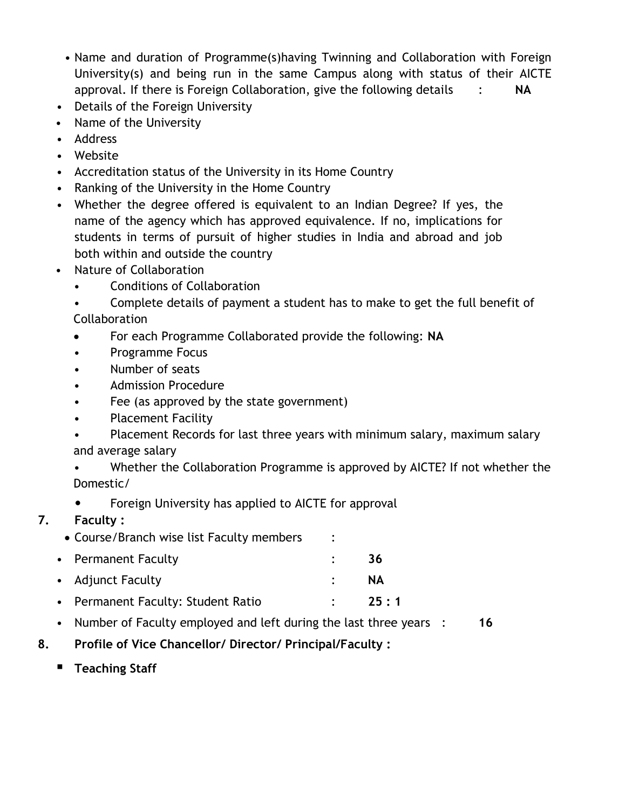- Name and duration of Programme(s)having Twinning and Collaboration with Foreign University(s) and being run in the same Campus along with status of their AICTE approval. If there is Foreign Collaboration, give the following details : **NA**
- Details of the Foreign University
- Name of the University
- Address
- Website
- Accreditation status of the University in its Home Country
- Ranking of the University in the Home Country
- Whether the degree offered is equivalent to an Indian Degree? If yes, the name of the agency which has approved equivalence. If no, implications for students in terms of pursuit of higher studies in India and abroad and job both within and outside the country
- Nature of Collaboration
	- Conditions of Collaboration
	- Complete details of payment a student has to make to get the full benefit of
	- Collaboration
	- For each Programme Collaborated provide the following: **NA**
	- Programme Focus
	- Number of seats
	- Admission Procedure
	- Fee (as approved by the state government)
	- Placement Facility
	- Placement Records for last three years with minimum salary, maximum salary and average salary
	- Whether the Collaboration Programme is approved by AICTE? If not whether the Domestic/
	- Foreign University has applied to AICTE for approval

# **7. Faculty :**

- Course/Branch wise list Faculty members :
- Permanent Faculty : **36** • Adjunct Faculty : **NA**
- Permanent Faculty: Student Ratio : **25 : 1**
- Number of Faculty employed and left during the last three years : **16**
- **8. Profile of Vice Chancellor/ Director/ Principal/Faculty :**
	- **Teaching Staff**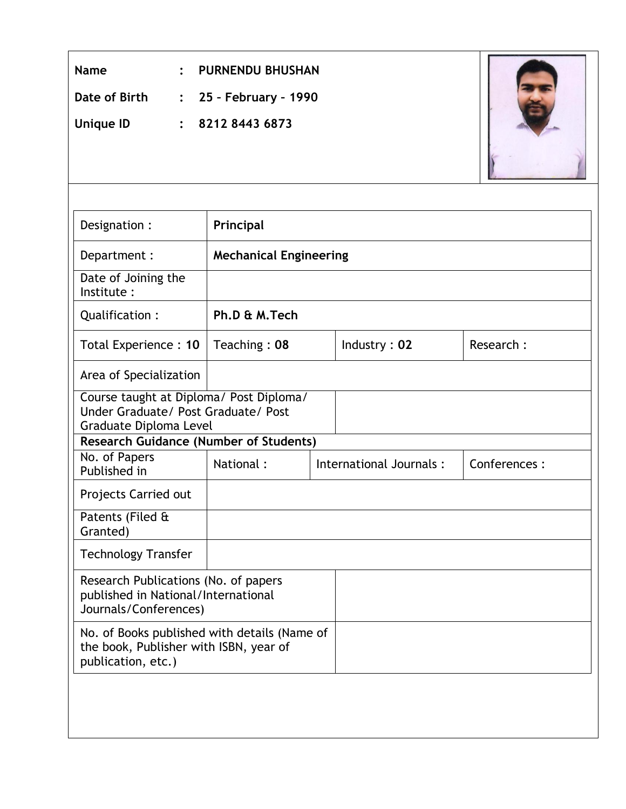| <b>Name</b>                                                                                                  | <b>PURNENDU BHUSHAN</b>       |  |                         |              |
|--------------------------------------------------------------------------------------------------------------|-------------------------------|--|-------------------------|--------------|
| Date of Birth<br>25 - February - 1990<br>$\ddot{\cdot}$                                                      |                               |  |                         |              |
| <b>Unique ID</b><br>$\ddot{\cdot}$                                                                           | 8212 8443 6873                |  |                         |              |
|                                                                                                              |                               |  |                         |              |
|                                                                                                              |                               |  |                         |              |
| Designation :                                                                                                | Principal                     |  |                         |              |
| Department :                                                                                                 | <b>Mechanical Engineering</b> |  |                         |              |
| Date of Joining the<br>Institute:                                                                            |                               |  |                         |              |
| Qualification:                                                                                               | Ph.D & M.Tech                 |  |                         |              |
| Total Experience: 10                                                                                         | Teaching: 08                  |  | Industry: 02            | Research:    |
| Area of Specialization                                                                                       |                               |  |                         |              |
| Course taught at Diploma/ Post Diploma/<br>Under Graduate/ Post Graduate/ Post<br>Graduate Diploma Level     |                               |  |                         |              |
| <b>Research Guidance (Number of Students)</b>                                                                |                               |  |                         |              |
| No. of Papers<br>Published in                                                                                | National:                     |  | International Journals: | Conferences: |
| Projects Carried out                                                                                         |                               |  |                         |              |
| Patents (Filed &<br>Granted)                                                                                 |                               |  |                         |              |
| <b>Technology Transfer</b>                                                                                   |                               |  |                         |              |
| Research Publications (No. of papers<br>published in National/International<br>Journals/Conferences)         |                               |  |                         |              |
| No. of Books published with details (Name of<br>the book, Publisher with ISBN, year of<br>publication, etc.) |                               |  |                         |              |
|                                                                                                              |                               |  |                         |              |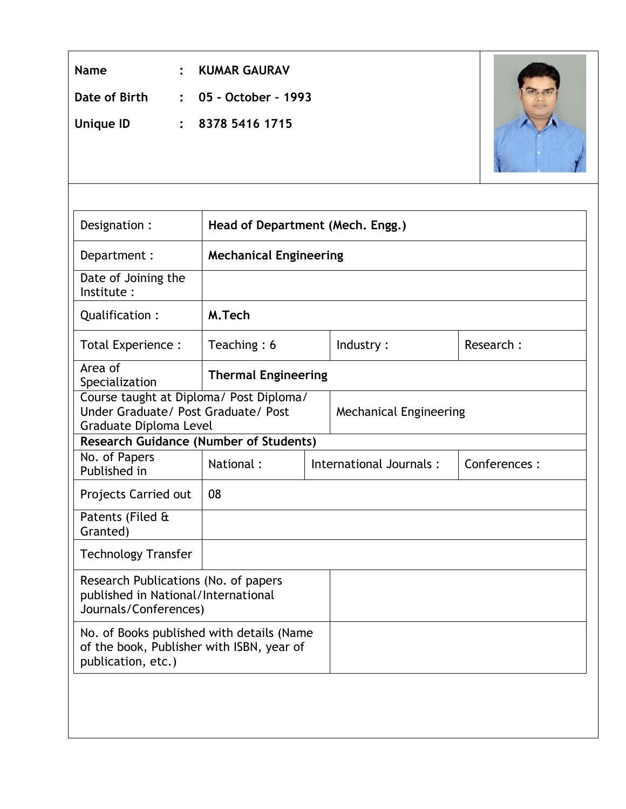| <b>Name</b><br>Date of Birth<br><b>Unique ID</b>                                                             | <b>KUMAR GAURAV</b><br>05 - October - 1993<br>8378 5416 1715 |  |                               |  |              |
|--------------------------------------------------------------------------------------------------------------|--------------------------------------------------------------|--|-------------------------------|--|--------------|
| Designation :                                                                                                | Head of Department (Mech. Engg.)                             |  |                               |  |              |
| Department :                                                                                                 | <b>Mechanical Engineering</b>                                |  |                               |  |              |
| Date of Joining the<br>Institute:                                                                            |                                                              |  |                               |  |              |
| Qualification:                                                                                               | M.Tech                                                       |  |                               |  |              |
| Total Experience :                                                                                           | Teaching: 6                                                  |  | Industry:                     |  | Research:    |
| Area of<br>Specialization                                                                                    | <b>Thermal Engineering</b>                                   |  |                               |  |              |
| Course taught at Diploma/ Post Diploma/<br>Under Graduate/ Post Graduate/ Post<br>Graduate Diploma Level     |                                                              |  | <b>Mechanical Engineering</b> |  |              |
| <b>Research Guidance (Number of Students)</b>                                                                |                                                              |  |                               |  |              |
| No. of Papers<br>Published in                                                                                | National:                                                    |  | International Journals:       |  | Conferences: |
| Projects Carried out                                                                                         | 08                                                           |  |                               |  |              |
| Patents (Filed &<br>Granted)                                                                                 |                                                              |  |                               |  |              |
| <b>Technology Transfer</b>                                                                                   |                                                              |  |                               |  |              |
| Research Publications (No. of papers<br>published in National/International<br>Journals/Conferences)         |                                                              |  |                               |  |              |
| No. of Books published with details (Name<br>of the book, Publisher with ISBN, year of<br>publication, etc.) |                                                              |  |                               |  |              |
|                                                                                                              |                                                              |  |                               |  |              |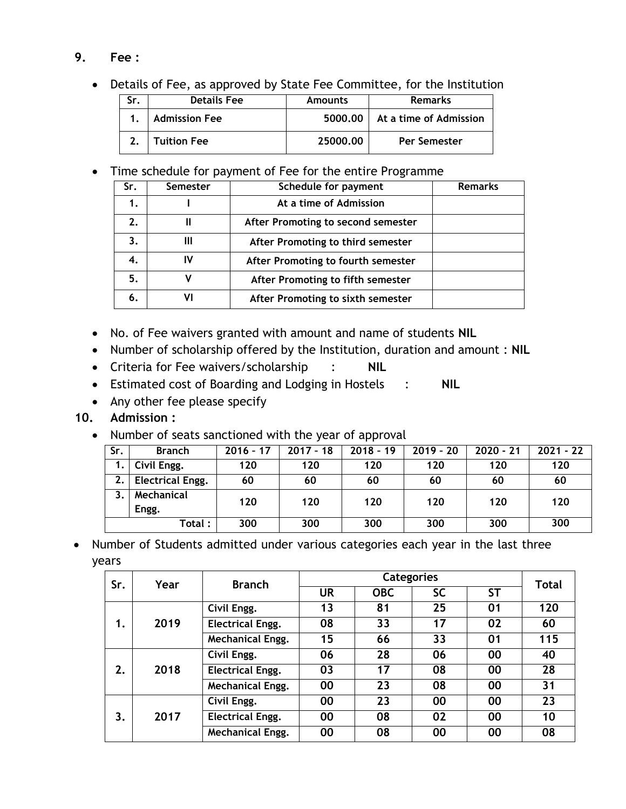### **9. Fee :**

Details of Fee, as approved by State Fee Committee, for the Institution

| <b>Details Fee</b>   | <b>Amounts</b> | <b>Remarks</b>         |
|----------------------|----------------|------------------------|
| <b>Admission Fee</b> | 5000.00        | At a time of Admission |
| <b>Tuition Fee</b>   | 25000.00       | <b>Per Semester</b>    |

Time schedule for payment of Fee for the entire Programme

| Sr. | <b>Semester</b> | Schedule for payment               | <b>Remarks</b> |
|-----|-----------------|------------------------------------|----------------|
|     |                 | At a time of Admission             |                |
| 2.  |                 | After Promoting to second semester |                |
| 3.  |                 | After Promoting to third semester  |                |
| 4.  |                 | After Promoting to fourth semester |                |
| 5.  |                 | After Promoting to fifth semester  |                |
| 6.  |                 | After Promoting to sixth semester  |                |

- No. of Fee waivers granted with amount and name of students **NIL**
- Number of scholarship offered by the Institution, duration and amount : **NIL**
- Criteria for Fee waivers/scholarship : **NIL**
- Estimated cost of Boarding and Lodging in Hostels : **NIL**
- Any other fee please specify

## **10. Admission :**

• Number of seats sanctioned with the year of approval

| Sr.          | <b>Branch</b>           | $2016 - 17$ | $2017 - 18$ | $2018 - 19$ | $2019 - 20$ | $2020 - 21$ | $2021 - 22$ |
|--------------|-------------------------|-------------|-------------|-------------|-------------|-------------|-------------|
| 1.           | Civil Engg.             | 120         | 120         | 120         | 120         | 120         | 120         |
| 2.           | <b>Electrical Engg.</b> | 60          | 60          | 60          | 60          | 60          | 60          |
| $\mathbf{3}$ | Mechanical<br>Engg.     | 120         | 120         | 120         | 120         | 120         | 120         |
|              | Total :                 | 300         | 300         | 300         | 300         | 300         | 300         |

• Number of Students admitted under various categories each year in the last three years

| Sr. | Year | <b>Branch</b>           | <b>Categories</b> |            |           |           | <b>Total</b> |
|-----|------|-------------------------|-------------------|------------|-----------|-----------|--------------|
|     |      |                         | <b>UR</b>         | <b>OBC</b> | <b>SC</b> | <b>ST</b> |              |
|     |      | Civil Engg.             | 13                | 81         | 25        | 01        | 120          |
| 1.  | 2019 | <b>Electrical Engg.</b> | 08                | 33         | 17        | 02        | 60           |
|     |      | Mechanical Engg.        | 15                | 66         | 33        | 01        | 115          |
|     | 2018 | Civil Engg.             | 06                | 28         | 06        | 00        | 40           |
| 2.  |      | <b>Electrical Engg.</b> | 03                | 17         | 08        | 00        | 28           |
|     |      | <b>Mechanical Engg.</b> | 00                | 23         | 08        | 00        | 31           |
| 3.  | 2017 | Civil Engg.             | 00                | 23         | 00        | 00        | 23           |
|     |      | <b>Electrical Engg.</b> | 00                | 08         | 02        | 00        | 10           |
|     |      | <b>Mechanical Engg.</b> | 00                | 08         | 00        | 00        | 08           |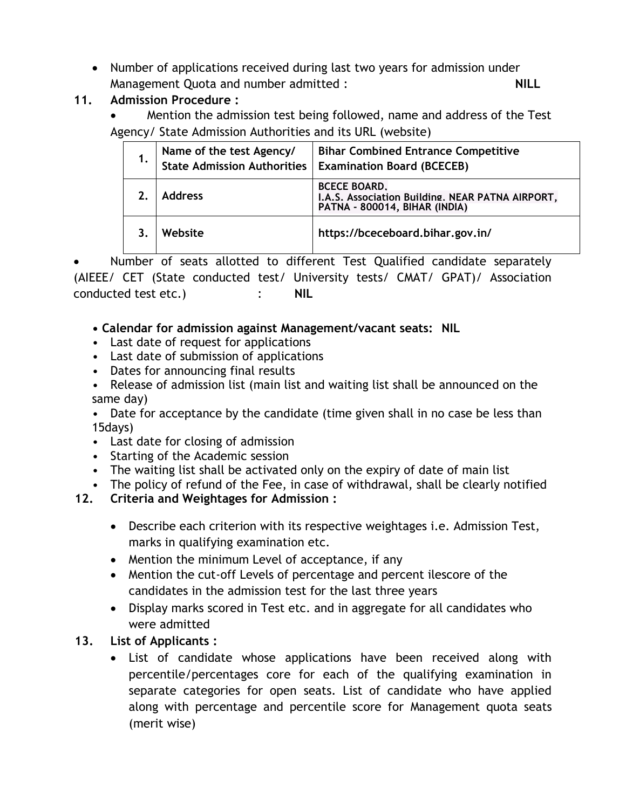• Number of applications received during last two years for admission under Management Quota and number admitted : **NILL**

## **11. Admission Procedure :**

 Mention the admission test being followed, name and address of the Test Agency/ State Admission Authorities and its URL (website)

| Name of the test Agency/<br><b>State Admission Authorities</b> | <b>Bihar Combined Entrance Competitive</b><br><b>Examination Board (BCECEB)</b>                          |
|----------------------------------------------------------------|----------------------------------------------------------------------------------------------------------|
| <b>Address</b>                                                 | <b>BCECE BOARD.</b><br>I.A.S. Association Building. NEAR PATNA AIRPORT,<br>PATNA - 800014, BIHAR (INDIA) |
| Website                                                        | https://bceceboard.bihar.gov.in/                                                                         |

 Number of seats allotted to different Test Qualified candidate separately (AIEEE/ CET (State conducted test/ University tests/ CMAT/ GPAT)/ Association conducted test etc.) : **NIL**

## **• Calendar for admission against Management/vacant seats: NIL**

- Last date of request for applications
- Last date of submission of applications
- Dates for announcing final results
- Release of admission list (main list and waiting list shall be announced on the same day)
- Date for acceptance by the candidate (time given shall in no case be less than 15days)
- Last date for closing of admission
- Starting of the Academic session
- The waiting list shall be activated only on the expiry of date of main list
- The policy of refund of the Fee, in case of withdrawal, shall be clearly notified

## **12. Criteria and Weightages for Admission :**

- Describe each criterion with its respective weightages i.e. Admission Test, marks in qualifying examination etc.
- Mention the minimum Level of acceptance, if any
- Mention the cut-off Levels of percentage and percent ilescore of the candidates in the admission test for the last three years
- Display marks scored in Test etc. and in aggregate for all candidates who were admitted

## **13. List of Applicants :**

 List of candidate whose applications have been received along with percentile/percentages core for each of the qualifying examination in separate categories for open seats. List of candidate who have applied along with percentage and percentile score for Management quota seats (merit wise)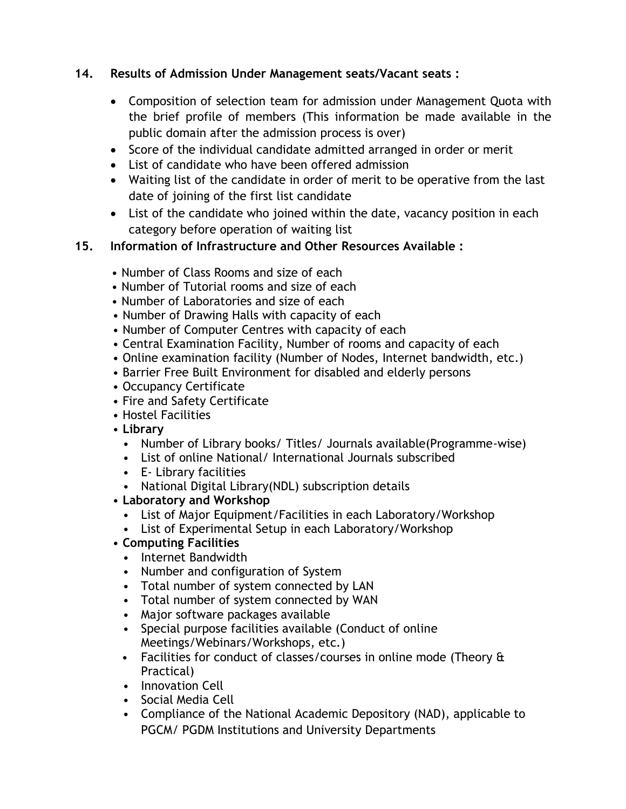### **14. Results of Admission Under Management seats/Vacant seats :**

- Composition of selection team for admission under Management Quota with the brief profile of members (This information be made available in the public domain after the admission process is over)
- Score of the individual candidate admitted arranged in order or merit
- List of candidate who have been offered admission
- Waiting list of the candidate in order of merit to be operative from the last date of joining of the first list candidate
- List of the candidate who joined within the date, vacancy position in each category before operation of waiting list
- **15. Information of Infrastructure and Other Resources Available :**
	- Number of Class Rooms and size of each
	- Number of Tutorial rooms and size of each
	- Number of Laboratories and size of each
	- Number of Drawing Halls with capacity of each
	- Number of Computer Centres with capacity of each
	- Central Examination Facility, Number of rooms and capacity of each
	- Online examination facility (Number of Nodes, Internet bandwidth, etc.)
	- Barrier Free Built Environment for disabled and elderly persons
	- Occupancy Certificate
	- Fire and Safety Certificate
	- Hostel Facilities
	- **Library**
		- Number of Library books/ Titles/ Journals available(Programme-wise)
		- List of online National/ International Journals subscribed
		- E- Library facilities
		- National Digital Library(NDL) subscription details
	- **Laboratory and Workshop**
		- List of Major Equipment/Facilities in each Laboratory/Workshop
		- List of Experimental Setup in each Laboratory/Workshop
	- **Computing Facilities**
		- Internet Bandwidth
		- Number and configuration of System
		- Total number of system connected by LAN
		- Total number of system connected by WAN
		- Major software packages available
		- Special purpose facilities available (Conduct of online Meetings/Webinars/Workshops, etc.)
		- Facilities for conduct of classes/courses in online mode (Theory & Practical)
		- Innovation Cell
		- Social Media Cell
		- Compliance of the National Academic Depository (NAD), applicable to PGCM/ PGDM Institutions and University Departments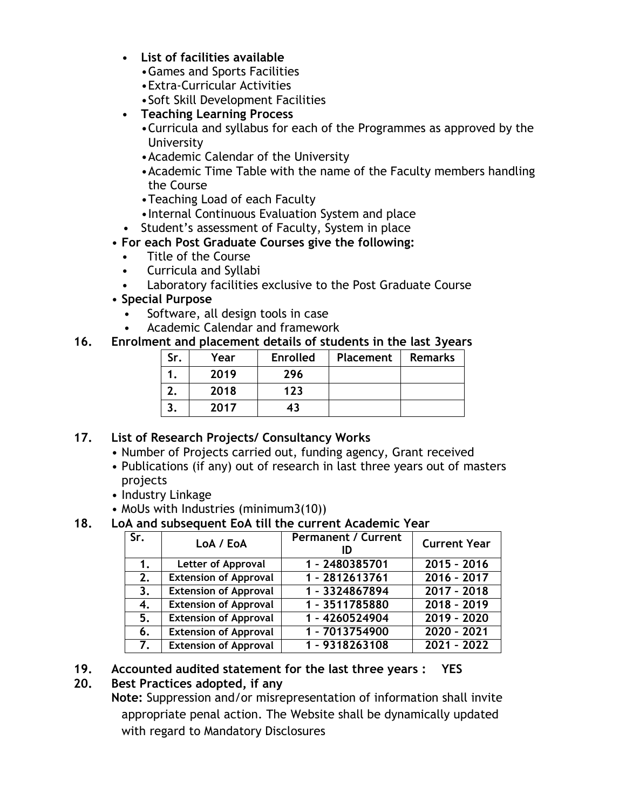- **List of facilities available**
	- •Games and Sports Facilities
	- •Extra-Curricular Activities
	- •Soft Skill Development Facilities
- **Teaching Learning Process**
	- •Curricula and syllabus for each of the Programmes as approved by the University
	- •Academic Calendar of the University
	- •Academic Time Table with the name of the Faculty members handling the Course
	- •Teaching Load of each Faculty
	- •Internal Continuous Evaluation System and place
	- Student's assessment of Faculty, System in place

#### • **For each Post Graduate Courses give the following:**

- Title of the Course
- Curricula and Syllabi
- Laboratory facilities exclusive to the Post Graduate Course

#### • **Special Purpose**

- Software, all design tools in case
- Academic Calendar and framework

#### **16. Enrolment and placement details of students in the last 3years**

| Sr. | Year | <b>Enrolled</b> | Placement | <b>Remarks</b> |
|-----|------|-----------------|-----------|----------------|
|     | 2019 | 296             |           |                |
|     | 2018 | 123             |           |                |
|     | 2017 | 43              |           |                |

### **17. List of Research Projects/ Consultancy Works**

- Number of Projects carried out, funding agency, Grant received
- Publications (if any) out of research in last three years out of masters projects
- Industry Linkage
- MoUs with Industries (minimum3(10))

#### **18. LoA and subsequent EoA till the current Academic Year**

| Sr. | LoA / EoA                    | <b>Permanent / Current</b> | <b>Current Year</b>      |
|-----|------------------------------|----------------------------|--------------------------|
| 1.  | <b>Letter of Approval</b>    | 1 - 2480385701             | $2015 - 2016$            |
| 2.  | <b>Extension of Approval</b> | 1 - 2812613761             | $\overline{2016} - 2017$ |
| 3.  | <b>Extension of Approval</b> | 1 - 3324867894             | $2017 - 2018$            |
| 4.  | <b>Extension of Approval</b> | 1 - 3511785880             | $2018 - 2019$            |
| 5.  | <b>Extension of Approval</b> | 1 - 4260524904             | $2019 - 2020$            |
| 6.  | <b>Extension of Approval</b> | 1 - 7013754900             | 2020 - 2021              |
| 7.  | <b>Extension of Approval</b> | 1 - 9318263108             | $2021 - 2022$            |

### **19. Accounted audited statement for the last three years : YES**

### **20. Best Practices adopted, if any**

**Note:** Suppression and/or misrepresentation of information shall invite appropriate penal action. The Website shall be dynamically updated with regard to Mandatory Disclosures